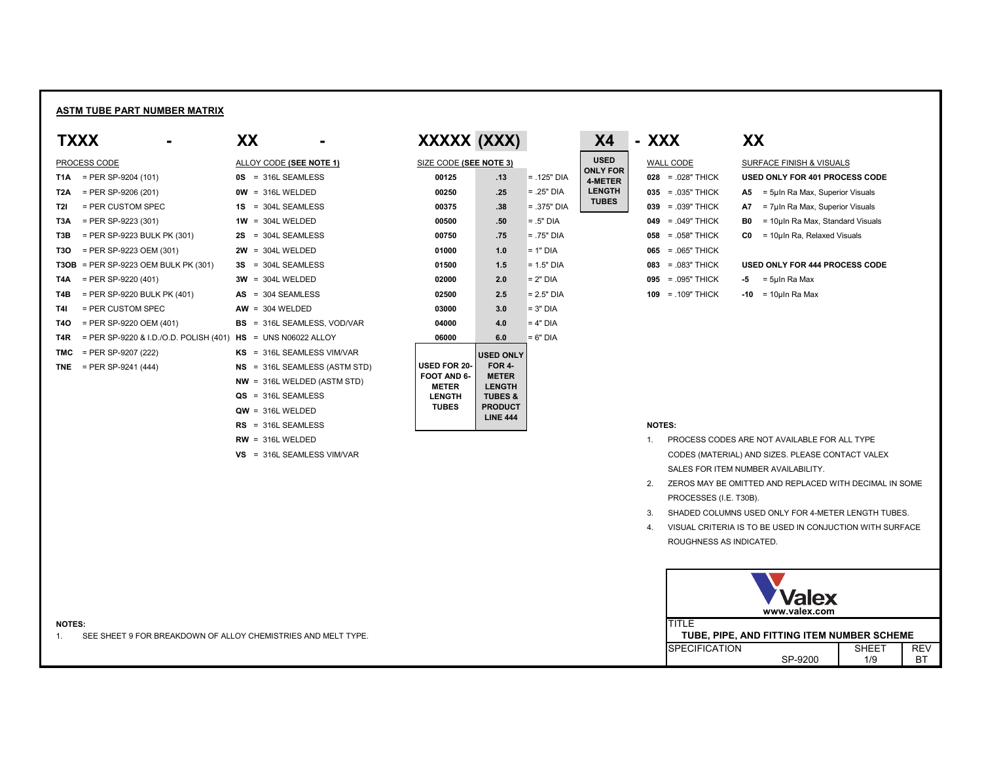# **ASTM TUBE PART NUMBER MATRIX**

| <b>TXXX</b>      |                                                                | XX |                                      | XXXXX (XXX)                 |                                   |               | <b>X4</b>                         | - XXX                 | XX             |                                                  |
|------------------|----------------------------------------------------------------|----|--------------------------------------|-----------------------------|-----------------------------------|---------------|-----------------------------------|-----------------------|----------------|--------------------------------------------------|
|                  | PROCESS CODE                                                   |    | <b>ALLOY CODE (SEE NOTE 1)</b>       | SIZE CODE (SEE NOTE 3)      |                                   |               | <b>USED</b>                       | WALL CODE             |                | SURFACE FINISH & VISUALS                         |
| T1A              | $=$ PER SP-9204 (101)                                          |    | <b>0S</b> = 316L SEAMLESS            | 00125                       | .13                               | $= .125"$ DIA | <b>ONLY FOR</b><br><b>4-METER</b> | $028 = 028$ " THICK   |                | <b>USED ONLY FOR 401 PROCESS CODE</b>            |
| T <sub>2</sub> A | $=$ PER SP-9206 (201)                                          |    | $OW = 316L WELDED$                   | 00250                       | .25                               | $= .25"$ DIA  | <b>LENGTH</b>                     | $035 = .035$ " THICK  | A5 —           | = 5uln Ra Max, Superior Visuals                  |
| T2I              | $=$ PER CUSTOM SPEC                                            |    | $1S = 304L$ SEAMLESS                 | 00375                       | .38                               | $= .375"$ DIA | <b>TUBES</b>                      | $039 = 039$ " THICK   | A7             | = 7µIn Ra Max, Superior Visuals                  |
| T3A              | $=$ PER SP-9223 (301)                                          |    | $1W = 304L$ WELDED                   | 00500                       | .50                               | $= .5"$ DIA   |                                   | $049 = 049$ THICK     | B0             | = 10µIn Ra Max, Standard Visuals                 |
| T <sub>3</sub> B | $=$ PER SP-9223 BULK PK (301)                                  |    | $2S = 304L$ SEAMLESS                 | 00750                       | .75                               | $= .75"$ DIA  |                                   | $058 = 058$ " THICK   | C <sub>0</sub> | = 10µIn Ra, Relaxed Visuals                      |
| <b>T3O</b>       | $=$ PER SP-9223 OEM (301)                                      |    | $2W = 304L$ WELDED                   | 01000                       | 1.0                               | $= 1"$ DIA    |                                   | $065 = 065$ " THICK   |                |                                                  |
|                  | $T3OB$ = PER SP-9223 OEM BULK PK (301)                         |    | $3S = 304L$ SEAMLESS                 | 01500                       | 1.5                               | $= 1.5"$ DIA  |                                   | $083 = 0.083$ " THICK |                | <b>USED ONLY FOR 444 PROCESS CODE</b>            |
| T4A              | $=$ PER SP-9220 (401)                                          |    | $3W = 304L$ WELDED                   | 02000                       | 2.0                               | $= 2"$ DIA    |                                   | $095 = 0.095$ " THICK |                | $-5 = 5$ µln Ra Max                              |
| T4B              | $=$ PER SP-9220 BULK PK (401)                                  |    | $AS = 304$ SEAMLESS                  | 02500                       | 2.5                               | $= 2.5"$ DIA  |                                   | $109 = 0.109$ THICK   |                | $-10 = 10$ µln Ra Max                            |
| T4I              | = PER CUSTOM SPEC                                              |    | $AW = 304 WELDED$                    | 03000                       | 3.0                               | $= 3"$ DIA    |                                   |                       |                |                                                  |
| <b>T40</b>       | $=$ PER SP-9220 OEM (401)                                      |    | <b>BS</b> = 316L SEAMLESS, VOD/VAR   | 04000                       | 4.0                               | $= 4"$ DIA    |                                   |                       |                |                                                  |
| T4R              | = PER SP-9220 & I.D./O.D. POLISH (401) $HS = UNS N06022 ALLOY$ |    |                                      | 06000                       | 6.0                               | $= 6"$ DIA    |                                   |                       |                |                                                  |
|                  | <b>TMC</b> = PER SP-9207 (222)                                 |    | KS = 316L SEAMLESS VIM/VAR           |                             | <b>USED ONLY</b>                  |               |                                   |                       |                |                                                  |
|                  | <b>TNE</b> = PER SP-9241 (444)                                 |    | <b>NS</b> = 316L SEAMLESS (ASTM STD) | <b>USED FOR 20-</b>         | FOR 4-                            |               |                                   |                       |                |                                                  |
|                  |                                                                |    | $NW = 316L WELDED (ASTM STD)$        | FOOT AND 6-<br><b>METER</b> | <b>METER</b><br><b>LENGTH</b>     |               |                                   |                       |                |                                                  |
|                  |                                                                |    | $QS = 316L$ SEAMLESS                 | <b>LENGTH</b>               | <b>TUBES &amp;</b>                |               |                                   |                       |                |                                                  |
|                  |                                                                |    | $QW = 316L$ WELDED                   | <b>TUBES</b>                | <b>PRODUCT</b><br><b>LINE 444</b> |               |                                   |                       |                |                                                  |
|                  |                                                                |    | $RS = 316L$ SEAMLESS                 |                             |                                   |               |                                   | <b>NOTES:</b>         |                |                                                  |
|                  |                                                                |    | $RW = 316L$ WELDED                   |                             |                                   |               |                                   |                       |                | PROCESS CODES ARE NOT AVAILABLE FOR ALL TYPE     |
|                  |                                                                |    | VS = 316L SEAMLESS VIM/VAR           |                             |                                   |               |                                   |                       |                | CODES (MATERIAL) AND SIZES. PLEASE CONTACT VALE) |
|                  |                                                                |    |                                      |                             |                                   |               |                                   |                       |                |                                                  |

| XXXXX (XXX) |  |
|-------------|--|
|             |  |

- 1. PROCESS CODES ARE NOT AVAILABLE FOR ALL TYPE CODES (MATERIAL) AND SIZES. PLEASE CONTACT VALEX
	- SALES FOR ITEM NUMBER AVAILABILITY.
- 2. ZEROS MAY BE OMITTED AND REPLACED WITH DECIMAL IN SOME PROCESSES (I.E. T30B).
- 
- 3. SHADED COLUMNS USED ONLY FOR 4-METER LENGTH TUBES.
- 4. VISUAL CRITERIA IS TO BE USED IN CONJUCTION WITH SURFACE ROUGHNESS AS INDICATED.

**NOTES:** TITLE 1. SEE SHEET 9 FOR BREAKDOWN OF ALLOY CHEMISTRIES AND MELT TYPE. **TUBE, PIPE, AND FITTING ITEM NUMBER SCHEME**



| <b>WALL CODE</b>       | SURFACE FINISH & VISUALS                              |  |  |  |  |  |  |
|------------------------|-------------------------------------------------------|--|--|--|--|--|--|
| $= .028"$ THICK<br>028 | <b>USED ONLY FOR 401 PROCESS CODE</b>                 |  |  |  |  |  |  |
| $= .035"$ THICK<br>035 | = 5µln Ra Max, Superior Visuals<br>A5                 |  |  |  |  |  |  |
| $= .039"$ THICK<br>039 | = 7µln Ra Max, Superior Visuals<br>A7                 |  |  |  |  |  |  |
| $= .049"$ THICK<br>049 | B0<br>= 10µIn Ra Max, Standard Visuals                |  |  |  |  |  |  |
| $= .058"$ THICK<br>058 | C <sub>0</sub><br>$=$ 10 $\mu$ In Ra, Relaxed Visuals |  |  |  |  |  |  |
| $= .065"$ THICK<br>065 |                                                       |  |  |  |  |  |  |
| = .083" THICK<br>083   | <b>USED ONLY FOR 444 PROCESS CODE</b>                 |  |  |  |  |  |  |
| $= .095"$ THICK<br>095 | = 5µln Ra Max<br>-5                                   |  |  |  |  |  |  |
| $= 109"$ THICK<br>109  | $-10$<br>= 10µIn Ra Max                               |  |  |  |  |  |  |
|                        |                                                       |  |  |  |  |  |  |

| SIZE CODE ( <b>SEE NOTE 3</b> )                                                            |                                                                                                                               |                  |
|--------------------------------------------------------------------------------------------|-------------------------------------------------------------------------------------------------------------------------------|------------------|
| 00125                                                                                      | .13                                                                                                                           | = .125" L        |
| 00250                                                                                      | .25                                                                                                                           | $=.25"$ DI       |
| 00375                                                                                      | .38                                                                                                                           | $= .375"$ $\Box$ |
| 00500                                                                                      | .50                                                                                                                           | $= .5"$ DIA      |
| 00750                                                                                      | .75                                                                                                                           | $=.75"$ DI       |
| 01000                                                                                      | 1.0                                                                                                                           | $= 1"$ DIA       |
| 01500                                                                                      | 1.5                                                                                                                           | $= 1.5"$ DI      |
| 02000                                                                                      | 2.0                                                                                                                           | $= 2"$ DIA       |
| 02500                                                                                      | 2.5                                                                                                                           | $= 2.5"$ DI      |
| 03000                                                                                      | 3.0                                                                                                                           | $= 3"$ DIA       |
| 04000                                                                                      | 4.0                                                                                                                           | $= 4"$ DIA       |
| 06000                                                                                      | 6.0                                                                                                                           | $= 6"$ DIA       |
| <b>USED FOR 20-</b><br><b>FOOT AND 6-</b><br><b>METER</b><br><b>LENGTH</b><br><b>TUBES</b> | <b>USED ONLY</b><br><b>FOR 4-</b><br><b>METER</b><br><b>LENGTH</b><br><b>TUBES &amp;</b><br><b>PRODUCT</b><br><b>LINE 444</b> |                  |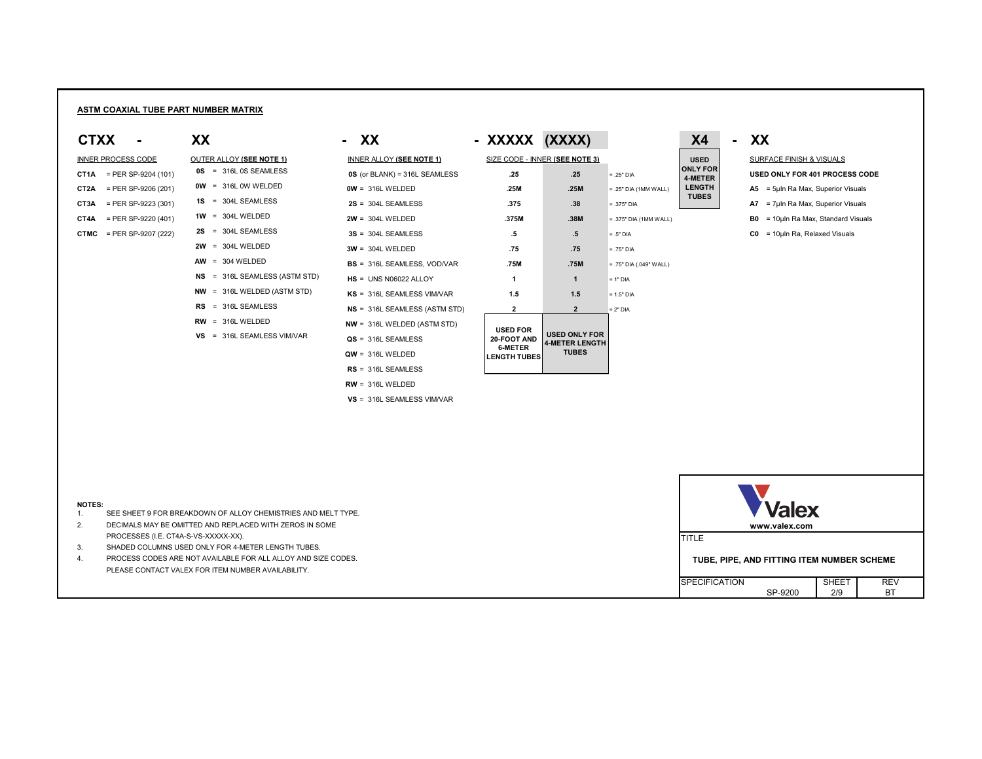# **ASTM COAXIAL TUBE PART NUMBER MATRIX**

| <b>INNER PROCESS CODE</b> |                       |  |  |  |  |  |
|---------------------------|-----------------------|--|--|--|--|--|
| CT1A                      | = PER SP-9204 (101)   |  |  |  |  |  |
| CT2A                      | $=$ PER SP-9206 (201) |  |  |  |  |  |
| CT3A                      | $=$ PER SP-9223 (301) |  |  |  |  |  |
| CT4A                      | $=$ PER SP-9220 (401) |  |  |  |  |  |
| rtn <i>r</i>              | ומממז דממם חם חדח –   |  |  |  |  |  |

|  | <b>OUTER ALLOY (SEE NOTE 1)</b> |
|--|---------------------------------|
|  | 0S = 316L 0S SEAMLESS           |
|  | $OW = 316L$ OW WELDED           |
|  | $1S = 304L$ SEAMLESS            |
|  | $1W = 304L$ WELDED              |
|  | $2S = 304L$ SEAMLESS            |
|  | $2W = 304L$ WELDED              |
|  | $AW = 304 WELDED$               |
|  | NS = 316L SEAMLESS (ASTM S      |
|  | NW = 316L WELDED (ASTM STI      |

- 
- $RW = 316L$  WELDED
- **VS** = 316L SEAMLESS VIM/VAR

| <b>CTXX</b>                     | XX                              | - XX                               | - XXXXX (XXXX)                        |                                        |                           | <b>X4</b>                  | $\blacksquare$ | XX                                  |
|---------------------------------|---------------------------------|------------------------------------|---------------------------------------|----------------------------------------|---------------------------|----------------------------|----------------|-------------------------------------|
| <b>INNER PROCESS CODE</b>       | <b>OUTER ALLOY (SEE NOTE 1)</b> | <b>INNER ALLOY (SEE NOTE 1)</b>    |                                       | SIZE CODE - INNER (SEE NOTE 3)         |                           | <b>USED</b>                |                | <b>SURFACE FINISH &amp; VISUALS</b> |
| $=$ PER SP-9204 (101)<br>CT1A   | $OS = 316L OS SEAMLESS$         | $OS$ (or BLANK) = 316L SEAMLESS    | .25                                   | .25                                    | $= .25"$ DIA              | <b>ONLY FOR</b><br>4-METER |                | <b>USED ONLY FOR 401 PROCESS</b>    |
| CT2A<br>$=$ PER SP-9206 (201)   | $OW = 316L$ OW WELDED           | $OW = 316L WELDED$                 | .25M                                  | .25M                                   | $= .25"$ DIA (1MM WALL)   | <b>LENGTH</b>              |                | $A5 = 5$ µIn Ra Max, Superior Visu  |
| $=$ PER SP-9223 (301)<br>CT3A   | $1S = 304L$ SEAMLESS            | $2S = 304L$ SEAMLESS               | .375                                  | .38                                    | $= .375"$ DIA             | <b>TUBES</b>               |                | $A7 = 7$ µIn Ra Max, Superior Visu  |
| $=$ PER SP-9220 (401)<br>CT4A   | $1W = 304L$ WELDED              | $2W = 304L$ WELDED                 | .375M                                 | .38M                                   | $= .375"$ DIA (1MM WALL)  |                            |                | $B0 = 10$ µln Ra Max, Standard Vi   |
| <b>CTMC</b> = PER SP-9207 (222) | $2S = 304L$ SEAMLESS            | $3S = 304L$ SEAMLESS               | $.5\,$                                | $.5\,$                                 | $= .5"$ DIA               |                            |                | $CO = 10$ µln Ra, Relaxed Visuals   |
|                                 | $2W = 304L$ WELDED              | $3W = 304L$ WELDED                 | .75                                   | .75                                    | $= .75"$ DIA              |                            |                |                                     |
|                                 | $AW = 304 WELDED$               | <b>BS</b> = 316L SEAMLESS, VOD/VAR | .75M                                  | .75M                                   | $= .75"$ DIA (.049" WALL) |                            |                |                                     |
|                                 | $NS = 316L$ SEAMLESS (ASTM STD) | $HS = UNS N06022 ALLOY$            |                                       |                                        | $= 1"$ DIA                |                            |                |                                     |
|                                 | $NW = 316L WELDED (ASTM STD)$   | KS = 316L SEAMLESS VIM/VAR         | 1.5                                   | 1.5                                    | $= 1.5"$ DIA              |                            |                |                                     |
|                                 | $RS = 316L$ SEAMLESS            | $NS = 316L$ SEAMLESS (ASTM STD)    | $\mathbf{2}$                          | 2 <sup>2</sup>                         | $= 2"$ DIA                |                            |                |                                     |
|                                 | $RW = 316L WELDED$              | $NW = 316L WELDED (ASTM STD)$      | <b>USED FOR</b>                       |                                        |                           |                            |                |                                     |
|                                 | VS = 316L SEAMLESS VIM/VAR      | $QS = 316L$ SEAMLESS               | 20-FOOT AND                           | <b>USED ONLY FOR</b><br>4-METER LENGTH |                           |                            |                |                                     |
|                                 |                                 | $QW = 316L WELDED$                 | <b>6-METER</b><br><b>LENGTH TUBES</b> | <b>TUBES</b>                           |                           |                            |                |                                     |
|                                 |                                 | $RS = 316L$ SEAMLESS               |                                       |                                        |                           |                            |                |                                     |

**RW** = 316L WELDED

**VS** = 316L SEAMLESS VIM/VAR

### **NOTES:**

- 1. SEE SHEET 9 FOR BREAKDOWN OF ALLOY CHEMISTRIES AND MELT TYPE.
- 2. DECIMALS MAY BE OMITTED AND REPLACED WITH ZEROS IN SOME PROCESSES (I.E. CT4A-S-VS-XXXXX-XX).
- 3. SHADED COLUMNS USED ONLY FOR 4-METER LENGTH TUBES.
- 4. PROCESS CODES ARE NOT AVAILABLE FOR ALL ALLOY AND SIZE CODES. PLEASE CONTACT VALEX FOR ITEM NUMBER AVAILABILITY.

| X4                                                                         |
|----------------------------------------------------------------------------|
| USED<br><b>ONLY FOR</b><br><b>4-METER</b><br><b>LENGTH</b><br><b>TUBES</b> |
|                                                                            |

**SURFACE FINISH & VISUALS CONSERVANCES** (UNLY FOR 101) = 31 METER (USED ONLY FOR 401 PROCESS CODE **COLA** (1MM WALL) **CENGTH 0 A5** = 5µIn Ra Max, Superior Visuals **COVIDER 18823 (301) 2022 (301) A7** = 7µIn Ra Max, Superior Visuals **CALA**  $\overline{3}$ <sup>n</sup> DIA (1MM WALL) **2004 2004 2005 2004 B0** = 10µIn Ra Max, Standard Visuals

| <b>Valex</b>                               |              |            |  |  |  |
|--------------------------------------------|--------------|------------|--|--|--|
| www.valex.com                              |              |            |  |  |  |
| 'ITLE                                      |              |            |  |  |  |
| TUBE, PIPE, AND FITTING ITEM NUMBER SCHEME |              |            |  |  |  |
| <b>SPECIFICATION</b>                       | <b>SHEET</b> | <b>RFV</b> |  |  |  |
| SP-9200                                    | 2/9          |            |  |  |  |

| SIZE CODE - INNER (SEE NOTE 3)                                          |                                                               |          |  |  |  |  |  |  |
|-------------------------------------------------------------------------|---------------------------------------------------------------|----------|--|--|--|--|--|--|
| .25                                                                     | .25                                                           | $= .25"$ |  |  |  |  |  |  |
| .25M                                                                    | .25M                                                          | $= .25"$ |  |  |  |  |  |  |
| .375                                                                    | .38                                                           | $=.375$  |  |  |  |  |  |  |
| .375M                                                                   | .38M                                                          | $=.375$  |  |  |  |  |  |  |
| .5                                                                      | .5                                                            | $=.5"$ [ |  |  |  |  |  |  |
| .75                                                                     | .75                                                           | $=.75"$  |  |  |  |  |  |  |
| .75M                                                                    | .75M                                                          | $= .75"$ |  |  |  |  |  |  |
| 1                                                                       | $\blacktriangleleft$                                          | $= 1"$ D |  |  |  |  |  |  |
| 1.5                                                                     | 1.5                                                           | $= 1.5"$ |  |  |  |  |  |  |
| $\overline{\mathbf{2}}$                                                 | 2 <sup>1</sup>                                                | $= 2"$ D |  |  |  |  |  |  |
| <b>USED FOR</b><br><b>20-FOOT AND</b><br>6-METER<br><b>LENGTH TUBES</b> | <b>USED ONLY FOR</b><br><b>4-METER LENGTH</b><br><b>TUBES</b> |          |  |  |  |  |  |  |
|                                                                         |                                                               |          |  |  |  |  |  |  |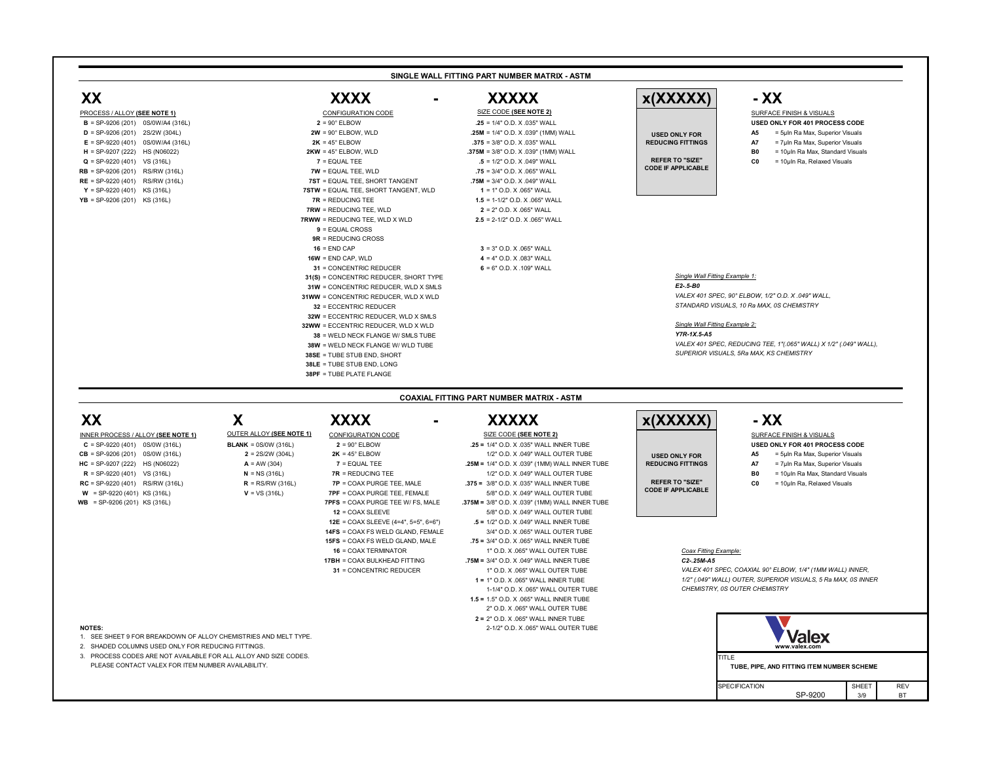**XX XXXX - XXXXX x(XXXXX) - XX**

| $B = SP-9206(201)$ 0S/0W/A4 (316L) | $2 = 90^\circ$ ELBOW                 | $.25 = 1/4"$ O.D. X .035" WALL          |                           |                | USED ONLY FOR 401 PROCESS COD   |
|------------------------------------|--------------------------------------|-----------------------------------------|---------------------------|----------------|---------------------------------|
| $D = SP-9206(201)$ 2S/2W (304L)    | $2W = 90^{\circ}$ ELBOW, WLD         | $.25M = 1/4"$ O.D. X .039" (1MM) WALL   | <b>USED ONLY FOR</b>      | A5.            | = 5µln Ra Max, Superior Visuals |
| $E = SP-9220(401)$ 0S/0W/A4 (316L) | $2K = 45^{\circ}$ ELBOW              | $.375 = 3/8"$ O.D. X 035" WALL          | <b>REDUCING FITTINGS</b>  | А7             | = 7µln Ra Max, Superior Visuals |
| $H = SP-9207(222)$ HS (N06022)     | $2KW = 45^{\circ}$ ELBOW, WLD        | $.375M = 3/8"$ O.D. X .039" (1MM) WALL  |                           | B <sub>0</sub> | = 10uln Ra Max, Standard Visua  |
| $Q = SP-9220(401)$ VS (316L)       | $7 =$ EQUAL TEE                      | $.5 = 1/2"$ O.D. X .049" WALL           | <b>REFER TO "SIZE"</b>    |                | = 10µln Ra, Relaxed Visuals     |
| $RB = SP-9206(201)$ RS/RW (316L)   | $TW = EQUAL TEE, WLD$                | $.75 = 3/4"$ O.D. X .065" WALL          | <b>CODE IF APPLICABLE</b> |                |                                 |
| $RE = SP-9220 (401)$ RS/RW (316L)  | 7ST = EQUAL TEE, SHORT TANGENT       | <b>.75M</b> = $3/4$ " O.D. X .049" WALL |                           |                |                                 |
| $Y = SP-9220(401)$ KS (316L)       | 7STW = EQUAL TEE, SHORT TANGENT, WLD | $1 = 1"$ O.D. X .065" WALL              |                           |                |                                 |
| $YB = SP-9206(201)$ KS (316L)      | $7R = REDUCING TEE$                  | $1.5 = 1-1/2"$ O.D. X .065" WALL        |                           |                |                                 |
|                                    |                                      |                                         |                           |                |                                 |

**B** = SP-9206 (201) 0S/0W/A4 (316L) **2** = 90° ELBOW **.25** = 1/4" O.D. X .035" WALL **USED ONLY FOR 401 PROCESS CODE 2W** = 90° ELBOW, WLD **25M** = 1/4" O.D. X .039" (1MM) WALL **by and the USED ONLY FOR A5** = 5µIn Ra Max, Superior Visuals **H 2KW** = 45° ELBOW, WLD **.375M** = 3/8" O.D. X .039" (1MM) WALL **B0** = 10µIn Ra Max, Standard Visuals **RB**  $R\text{W} = \text{EQUAL}$  TEE, WLD **75** = 3/4" O.D. X .065" WALL **7ST** = EQUAL TEE, SHORT TANGENT **.75M** = 3/4" O.D. X .049" WALL **YSTW** = EQUAL TEE, SHORT TANGENT, WLD **1** = 1" O.D. X .065" WALL **TR** = REDUCING TEE **1.5 1.5** = 1-1/2" O.D. X .065" WALL **7RW** = REDUCING TEE, WLD **2** = 2" O.D. X .065" WALL **7RWW** = REDUCING TEE, WLD X WLD **2.5** = 2-1/2" O.D. X .065" WALL

**16** = END CAP **3** = 3" O.D. X .065" WALL **16W** = END CAP, WLD **4** = 4" O.D. X .083" WALL

**31WW** = CONCENTRIC REDUCER, WLD X WLD *VALEX 401 SPEC, 90° ELBOW, 1/2" O.D. X .049" WALL,*  **32** = ECCENTRIC REDUCER *STANDARD VISUALS, 10 Ra MAX, 0S CHEMISTRY*

- 
- 
- 
- 
- 
- 
- 
- 
- 
- 
- **9** = EQUAL CROSS
- 
- **9R** = REDUCING CROSS
- 
- 
- **31** = CONCENTRIC REDUCER **6** = 6" O.D. X .109" WALL
- **31(S)** = CONCENTRIC REDUCER, SHORT TYPE *Single Wall Fitting Example 1:*<br>**31W** = CONCENTRIC REDUCER WI D X SMI S
- **31W** = CONCENTRIC REDUCER, WLD X SMLS
- 
- 
- **32W** = ECCENTRIC REDUCER, WLD X SMLS
- **32WW** = ECCENTRIC REDUCER, WLD X WLD *Single Wall Fitting Example 2:*
- **38** = WELD NECK FLANGE W/ SMLS TUBE *Y7R-1X.5-A5*
- 
- 
- **38LE** = TUBE STUB END, LONG
- **38PF** = TUBE PLATE FLANGE

**38W** = WELD NECK FLANGE W/ WLD TUBE *VALEX 401 SPEC, REDUCING TEE, 1"(.065" WALL) X 1/2" (.049" WALL),*  **38SE** = TUBE STUB END, SHORT *SUPERIOR VISUALS, 5Ra MAX, KS CHEMISTRY*

- 1. SEE SHEET 9 FOR BREAKDOWN OF ALLOY CHEMISTRIES AND MELT TYPE.
- 2. SHADED COLUMNS USED ONLY FOR REDUCING FITTINGS.
- 3. PROCESS CODES ARE NOT AVAILABLE FOR ALL ALLOY AND SIZE CODES.<br>PLEASE CONTACT VALEX FOR ITEM NUMBER AVAILABILITY.

### **XX X XXXX - XXXXX x(XXXXX) - XX C** = SP-9220 (401) 0S/0W (316L) **BLANK** = 0S/0W (316L) **2** = 90° ELBOW **.25 =** 1/4" O.D. X .035" WALL INNER TUBE **USED ONLY FOR 401 PROCESS CODE CB** = SP-9206 (201) 0S/0W (316L) **2** = 2S/2W (304L) **2K** = 45° ELBOW 1/2" O.D. X .049" WALL OUTER TUBE **A5** = 5µIn Ra Max, Superior Visuals **HC** = SP-9207 (222) HS (N06022) **A** = AW (304) **7** = EQUAL TEE **2006 25M =** 1/4" O.D. X .039" (1MM) WALL INNER TUBE **REDUCING FITTINGS A7** = 7µIn Ra Max, Superior Visuals **R** = SP-9220 (401) VS (316L) **N** = NS (316L) **7R** = REDUCING TEE 1/2" O.D. X .049" WALL OUTER TUBE **B0** = 10µIn Ra Max, Standard Visuals **RC** = SP-9220 (401) RS/RW (316L) **R** = RS/RW (316L) **7P** = COAX PURGE TEE, MALE **.375 =** 3/8" O.D. X .035" WALL INNER TUBE **C0** = 10µIn Ra, Relaxed Visuals **W** = SP-9220 (401) KS (316L) **V** = VS (316L) **7PF** = COAX PURGE TEE, FEMALE 5/8" O.D. X .049" WALL OUTER TUBE **WB** = SP-9206 (201) KS (316L) **7PFS** = COAX PURGE TEE W/ FS, MALE **.375M =** 3/8" O.D. X .039" (1MM) WALL INNER TUBE **12** = COAX SLEEVE **5/8" O.D. X .049" WALL OUTER TUBE 12E** = COAX SLEEVE (4=4", 5=5", 6=6") **.5 =** 1/2" O.D. X .049" WALL INNER TUBE **14FS** = COAX FS WELD GLAND, FEMALE 3/4" O.D. X .065" WALL OUTER TUBE **15FS** = COAX FS WELD GLAND, MALE **.75 =** 3/4" O.D. X .065" WALL INNER TUBE **16** = COAX TERMINATOR **1"** O.D. X .065" WALL OUTER TUBE **COAX** Fitting Example: INNER PROCESS / ALLOY **(SEE NOTE 1)** OUTER ALLOY **(SEE NOTE 1)** CONFIGURATION CODE OUTER ALLOY **(SEE NOTE 1)**

- 
- 





- 
- 
- 
- 
- 1-1/4" O.D. X .065" WALL OUTER TUBE *CHEMISTRY, 0S OUTER CHEMISTRY*
- **1.5 =** 1.5" O.D. X .065" WALL INNER TUBE
- **2 =** 2" O.D. X .065" WALL INNER TUBE
- **17BH** = COAX BULKHEAD FITTING **.75M =** 3/4" O.D. X .049" WALL INNER TUBE *C2-.25M-A5*
	-
	-
	- 2" O.D. X .065" WALL OUTER TUBE
- **NOTES:** 2-1/2" O.D. X .065" WALL OUTER TUBE
- 
- 
- 



CONFIGURATION CODE SIZE CODE (SEE NOTE 2) SIZE CODE (SEE NOTE 2) SURFACE FINISH & VISUALS

- 
- 
- 

### **SINGLE WALL FITTING PART NUMBER MATRIX - ASTM**

# **COAXIAL FITTING PART NUMBER MATRIX - ASTM**

### PROCESS / ALLOY **(SEE NOTE 1)**

**USED ONLY FOR REDUCING FITTINGS**

**REFER TO "SIZE" CODE IF APPLICABLE**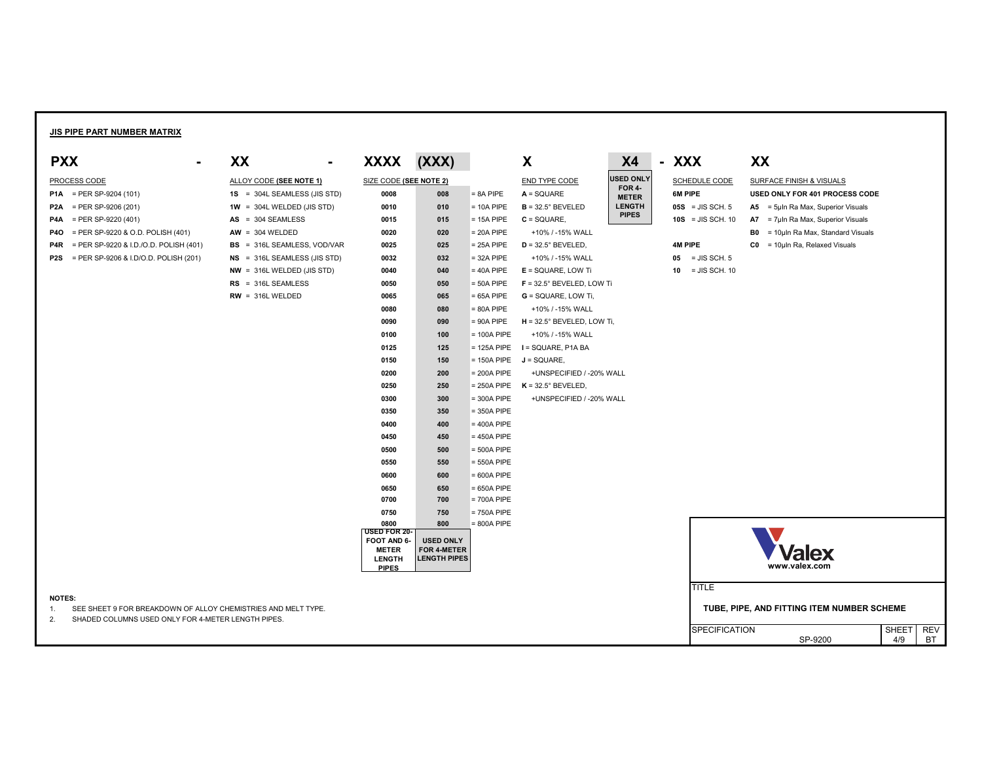# **JIS PIPE PART NUMBER MATRIX**

# **SCHEDULE CODE SURFACE FINISH & VISUALS P1A** = PER SP-9204 (101) **1S** = 304L SEAMLESS (JIS STD) **0008 008** = 8A PIPE **A** = SQUARE **6M PIPE USED ONLY FOR 401 PROCESS CODE 05S** = JIS SCH. 5 **A5** = 5µIn Ra Max, Superior Visuals **10S** = JIS SCH. 10 **A7** = 7µIn Ra Max, Superior Visuals **B0** = 10µIn Ra Max, Standard Visuals **4M PIPE C0** = 10µIn Ra, Relaxed Visuals

| <b>PXX</b><br>$\blacksquare$                              | XX<br>$\blacksquare$               | <b>XXXX</b>                   | (XXX)                                  |               | X                                   | <b>X4</b>                     | - XXX                 | XX             |
|-----------------------------------------------------------|------------------------------------|-------------------------------|----------------------------------------|---------------|-------------------------------------|-------------------------------|-----------------------|----------------|
| <b>PROCESS CODE</b>                                       | ALLOY CODE (SEE NOTE 1)            | SIZE CODE (SEE NOTE 2)        |                                        |               | <b>END TYPE CODE</b>                | <b>USED ONLY</b>              | <b>SCHEDULE CODE</b>  | <b>SURF</b>    |
| <b>P1A</b> = PER SP-9204 (101)                            | $1S = 304L$ SEAMLESS (JIS STD)     | 0008                          | 008                                    | $= 8A$ PIPE   | $A = SQUARE$                        | <b>FOR 4-</b><br><b>METER</b> | 6M PIPE               | <b>USED</b>    |
| P <sub>2</sub> A<br>$=$ PER SP-9206 (201)                 | $1W = 304L$ WELDED (JIS STD)       | 0010                          | 010                                    | $= 10A$ PIPE  | $B = 32.5^{\circ}$ BEVELED          | <b>LENGTH</b>                 | $05S = JIS SCH. 5$    | <b>A5</b>      |
| $=$ PER SP-9220 (401)<br>P4A                              | $AS = 304$ SEAMLESS                | 0015                          | 015                                    | $= 15A$ PIPE  | $C = SQUARE$ ,                      | <b>PIPES</b>                  | $10S = JIS SCH. 10$   | <b>A7</b>      |
| = PER SP-9220 & O.D. POLISH $(401)$<br><b>P40</b>         | $AW = 304 WELDED$                  | 0020                          | 020                                    | $= 20A$ PIPE  | +10% / -15% WALL                    |                               |                       | B <sub>0</sub> |
| = PER SP-9220 & I.D./O.D. POLISH (401)<br>P4R             | <b>BS</b> = 316L SEAMLESS, VOD/VAR | 0025                          | 025                                    | $= 25A$ PIPE  | $D = 32.5^{\circ}$ BEVELED,         |                               | <b>4M PIPE</b>        | C <sub>0</sub> |
| = PER SP-9206 & I.D/O.D. POLISH (201)<br>P <sub>2</sub> S | $NS = 316L$ SEAMLESS (JIS STD)     | 0032                          | 032                                    | $= 32A$ PIPE  | +10% / -15% WALL                    |                               | $05 = JIS SCH. 5$     |                |
|                                                           | $NW = 316L$ WELDED (JIS STD)       | 0040                          | 040                                    | $= 40A$ PIPE  | $E = SQUARE$ , LOW Ti               |                               | $=$ JIS SCH. 10<br>10 |                |
|                                                           | $RS = 316L$ SEAMLESS               | 0050                          | 050                                    | $=$ 50A PIPE  | $F = 32.5^{\circ}$ BEVELED, LOW Ti  |                               |                       |                |
|                                                           | $RW = 316L WELDED$                 | 0065                          | 065                                    | $= 65A$ PIPE  | $G = SQUARE$ , LOW Ti,              |                               |                       |                |
|                                                           |                                    | 0080                          | 080                                    | $= 80A$ PIPE  | +10% / -15% WALL                    |                               |                       |                |
|                                                           |                                    | 0090                          | 090                                    | $= 90A$ PIPE  | $H = 32.5^{\circ}$ BEVELED, LOW Ti, |                               |                       |                |
|                                                           |                                    | 0100                          | 100                                    | $= 100A$ PIPE | +10% / -15% WALL                    |                               |                       |                |
|                                                           |                                    | 0125                          | 125                                    | $= 125A$ PIPE | I = SQUARE, P1A BA                  |                               |                       |                |
|                                                           |                                    | 0150                          | 150                                    | $= 150A$ PIPE | $J = SQUARE$ ,                      |                               |                       |                |
|                                                           |                                    | 0200                          | 200                                    | $= 200A$ PIPE | +UNSPECIFIED / -20% WALL            |                               |                       |                |
|                                                           |                                    | 0250                          | 250                                    | $= 250A$ PIPE | $K = 32.5^{\circ}$ BEVELED,         |                               |                       |                |
|                                                           |                                    | 0300                          | 300                                    | $=$ 300A PIPE | +UNSPECIFIED / -20% WALL            |                               |                       |                |
|                                                           |                                    | 0350                          | 350                                    | $=$ 350A PIPE |                                     |                               |                       |                |
|                                                           |                                    | 0400                          | 400                                    | $= 400A$ PIPE |                                     |                               |                       |                |
|                                                           |                                    | 0450                          | 450                                    | $= 450A$ PIPE |                                     |                               |                       |                |
|                                                           |                                    | 0500                          | 500                                    | $=$ 500A PIPE |                                     |                               |                       |                |
|                                                           |                                    | 0550                          | 550                                    | $= 550A$ PIPE |                                     |                               |                       |                |
|                                                           |                                    | 0600                          | 600                                    | $= 600A$ PIPE |                                     |                               |                       |                |
|                                                           |                                    | 0650                          | 650                                    | $= 650A$ PIPE |                                     |                               |                       |                |
|                                                           |                                    | 0700                          | 700                                    | $= 700A$ PIPE |                                     |                               |                       |                |
|                                                           |                                    | 0750                          | 750                                    | $= 750A$ PIPE |                                     |                               |                       |                |
|                                                           |                                    | 0800<br><b>USED FOR 20-</b>   | 800                                    | $= 800A$ PIPE |                                     |                               |                       |                |
|                                                           |                                    | FOOT AND 6-<br><b>METER</b>   | <b>USED ONLY</b><br><b>FOR 4-METER</b> |               |                                     |                               |                       |                |
|                                                           |                                    | <b>LENGTH</b><br><b>PIPES</b> | <b>LENGTH PIPES</b>                    |               |                                     |                               |                       |                |



**TITLE** 

SPECIFICATION<br>SP-9200

SHEET REV<br>4/9 BT

### **NOTES:**

1. SEE SHEET 9 FOR BREAKDOWN OF ALLOY CHEMISTRIES AND MELT TYPE. **TUBE, PIPE, AND FITTING ITEM NUMBER SCHEME** 

2. SHADED COLUMNS USED ONLY FOR 4-METER LENGTH PIPES.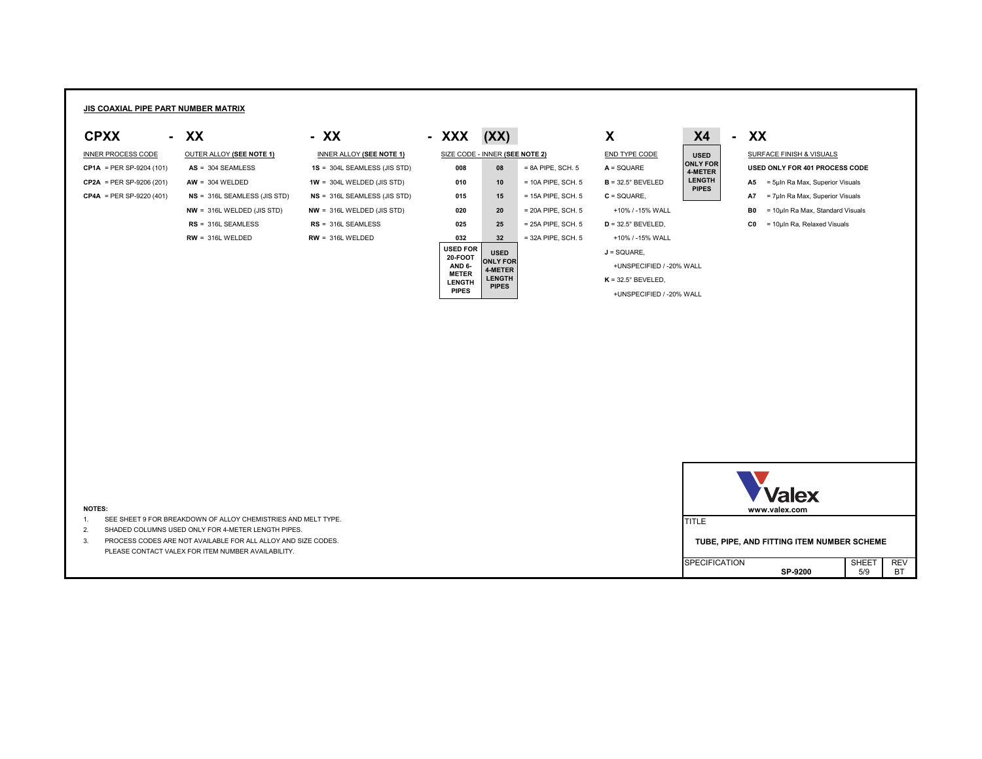# **JIS COAXIAL PIPE PART NUMBER MATRIX**

|  | $AS = 304$ SEAMLESS         |
|--|-----------------------------|
|  | $AW = 304 WELDED$           |
|  | NS = 316L SEAMLESS (JIS ST  |
|  | $NW = 316L$ WELDED (JIS STD |
|  | $RS = 316L$ SEAMLESS        |



INNER PROCESS CODE OUTER ALLOY (SEE NOTE 1) INNER ALLOY (SEE NOTE 1) SIZE CODE - INNER (SEE NOTE 2) END TYPE CODE | USED | SURFACE FINISH & VISUALS

| <b>NOTES:</b>                                                 | <b>Valex</b><br>www.valex.com                      |
|---------------------------------------------------------------|----------------------------------------------------|
| SEE SHEET 9 FOR BREAKDOWN OF ALLOY CHEMISTRIES AND MELT TYPE. | <b>ITITLE</b>                                      |
| SHADED COLUMNS USED ONLY FOR 4-METER LENGTH PIPES.            |                                                    |
| PROCESS CODES ARE NOT AVAILABLE FOR ALL ALLOY AND SIZE CODES. | TUBE, PIPE, AND FITTING ITEM NUMBER SCHEME         |
| PLEASE CONTACT VALEX FOR ITEM NUMBER AVAILABILITY.            |                                                    |
|                                                               | <b>SHEET</b><br><b>REV</b><br><b>SPECIFICATION</b> |
|                                                               | <b>BT</b><br>5/9<br><b>SP-9200</b>                 |

- 1. SEE SHEET 9 FOR BREAKDOWN OF ALLOY CHEMISTRIES AND MELT TYPE.
- 2. SHADED COLUMNS USED ONLY FOR 4-METER LENGTH PIPES.

| <b>CP1A</b> = PER SP-9204 (101) | $AS = 304$ SEAMLESS            | $1S = 304L$ SEAMLESS (JIS STD) | 008                               | 08                         | $= 8A$ PIPE, SCH. 5  | $A = SQUARE$                | <b>UNLY FUR</b><br>4-METER    |           | USED ONLY FOR 401 PROCESS CODE   |
|---------------------------------|--------------------------------|--------------------------------|-----------------------------------|----------------------------|----------------------|-----------------------------|-------------------------------|-----------|----------------------------------|
| $CP2A = PER SP-9206 (201)$      | $AW = 304 WELDED$              | $1W = 304L$ WELDED (JIS STD)   | 010                               | 10 <sub>1</sub>            | $= 10A$ PIPE, SCH. 5 | $B = 32.5^{\circ}$ BEVELED  | <b>LENGTH</b><br><b>PIPES</b> | <b>A5</b> | = 5µIn Ra Max, Superior Visuals  |
| <b>CP4A</b> = PER SP-9220 (401) | $NS = 316L$ SEAMLESS (JIS STD) | $NS = 316L$ SEAMLESS (JIS STD) | 015                               | 15                         | $= 15A$ PIPE, SCH. 5 | $C = SQUARE$ ,              |                               | A7        | = 7uln Ra Max, Superior Visuals  |
|                                 | $NW = 316L WELDED (JIS STD)$   | $NW = 316L WELDED (JIS STD)$   | 020                               | 20 <sub>2</sub>            | $= 20A$ PIPE, SCH. 5 | +10% / -15% WALL            |                               | B0 I      | = 10µln Ra Max, Standard Visuals |
|                                 | $RS = 316L$ SEAMLESS           | $RS = 316L$ SEAMLESS           | 025                               | 25                         | $= 25A$ PIPE, SCH. 5 | $D = 32.5^{\circ}$ BEVELED, |                               | C0        | = 10µln Ra, Relaxed Visuals      |
|                                 | $RW = 316L WELDED$             | $RW = 316L WELDED$             | 032                               | 32 <sub>2</sub>            | $=$ 32A PIPE, SCH. 5 | +10% / -15% WALL            |                               |           |                                  |
|                                 |                                |                                | <b>USED FOR</b><br><b>20-FOOT</b> | <b>USED</b>                |                      | $J = SQUARE$ ,              |                               |           |                                  |
|                                 |                                |                                | AND 6-                            | <b>ONLY FOR</b><br>4-METER |                      | +UNSPECIFIED / -20% WALL    |                               |           |                                  |
|                                 |                                |                                | <b>METER</b><br><b>LENGTH</b>     | <b>LENGTH</b>              |                      | $K = 32.5^{\circ}$ BEVELED, |                               |           |                                  |
|                                 |                                |                                | <b>PIPES</b>                      | <b>PIPES</b>               |                      | +UNSPECIFIED / -20% WALL    |                               |           |                                  |

- 
- 
- 
- 
- 
- **J** = SQUARE,

# **USED ONLY FOR 4-METER LENGTH**

- 
- 
- 
- 

INNER ALLOY **(SEE NOTE 1)**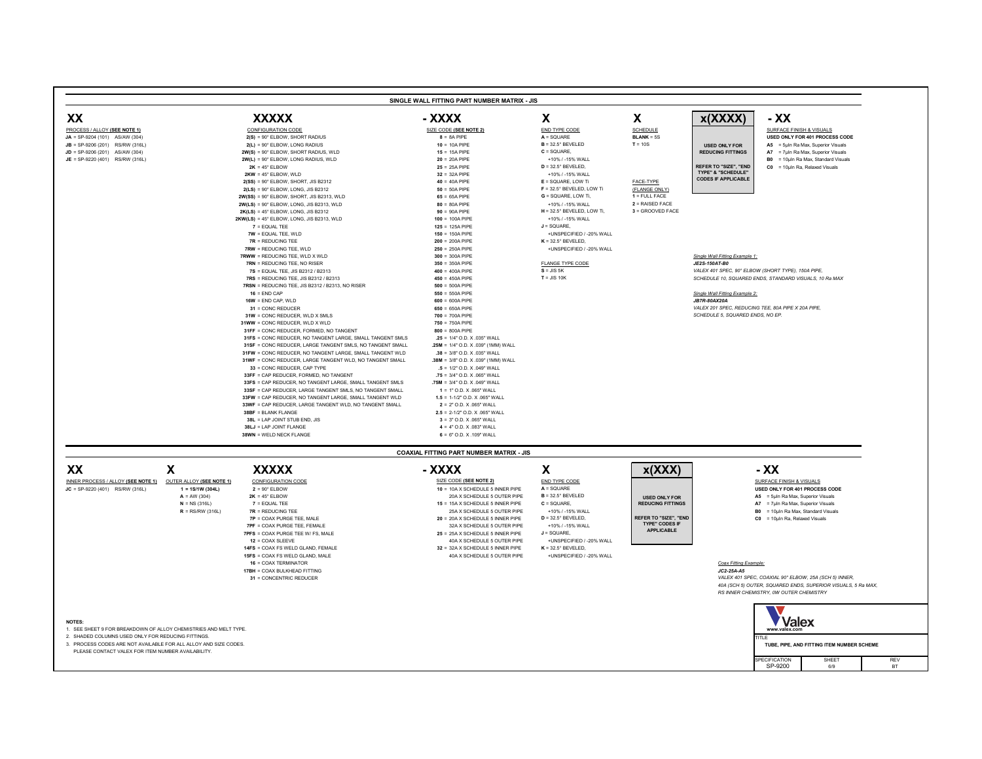**31** = CONC REDUCER **650** = 650A PIPE *VALEX 201 SPEC, REDUCING TEE, 80A PIPE X 20A PIPE,*

- 
- 
- 
- 

- 
- -
	-
	- **7PF** = COAX PURGE TEE, FEMALE **1998 124 A SCHEDULE 5 OUTER PIPE** +10% / -15% WALL
	-
	-
	-
	- **16** = COAX TERMINATOR *Coax Fitting Example:*
	- **17BH** = COAX BULKHEAD FITTING *JC2-25A-A5*
	-

| PROCESS / ALLOY (SEE NOTE 1) |              |
|------------------------------|--------------|
| $JA = SP-9204(101)$          | AS/AW (304)  |
| $JB = SP-9206(201)$          | RS/RW (316L) |
| $JD = SP-9206(201)$          | AS/AW (304)  |
| $JE = SP-9220(401)$          | RS/RW (316L) |

| XX                                         | <b>XXXXX</b>                                                   | - XXXX                                | V<br>$\boldsymbol{\Lambda}$         | X                 | x(XXX)                                | - XX                |
|--------------------------------------------|----------------------------------------------------------------|---------------------------------------|-------------------------------------|-------------------|---------------------------------------|---------------------|
| <u>PROCESS / ALLOY <b>(SEE NOTE 1)</b></u> | <b>CONFIGURATION CODE</b>                                      | SIZE CODE (SEE NOTE 2)                | END TYPE CODE                       | <b>SCHEDULE</b>   |                                       | <b>SURFACE</b>      |
| $JA = SP-9204 (101)$ AS/AW (304)           | $2(S) = 90^\circ$ ELBOW, SHORT RADIUS                          | $8 = 8A$ PIPE                         | $A = SQUARE$                        | $BLANK = 5S$      |                                       | <b>USED ONL</b>     |
| $JB = SP-9206(201)$ RS/RW (316L)           | $2(L) = 90^\circ$ ELBOW, LONG RADIUS                           | $10 = 10A$ PIPE                       | $B = 32.5^{\circ}$ BEVELED          | $T = 10S$         | <b>USED ONLY FOR</b>                  | $A5 = 5 \mu h$      |
| $JD = SP-9206 (201)$ AS/AW (304)           | $2W(S) = 90^{\circ}$ ELBOW, SHORT RADIUS, WLD                  | $15 = 15A$ PIPE                       | $C = SQUARE$ ,                      |                   | <b>REDUCING FITTINGS</b>              | $AY = 7 \mu h$      |
| <b>JE</b> = SP-9220 (401) RS/RW (316L)     | $2W(L) = 90^{\circ}$ ELBOW, LONG RADIUS, WLD                   | $20 = 20A$ PIPE                       | +10% / -15% WALL                    |                   |                                       | <b>B0</b> = $10\mu$ |
|                                            | $2K = 45^{\circ}$ ELBOW                                        | $25 = 25A$ PIPE                       | $D = 32.5^{\circ}$ BEVELED,         |                   | <b>REFER TO "SIZE", "END</b>          | $CO = 10 \mu$       |
|                                            | $2KW = 45^{\circ}$ ELBOW, WLD                                  | $32 = 32A$ PIPE                       | +10% / -15% WALL                    |                   | <b>TYPE" &amp; "SCHEDULE"</b>         |                     |
|                                            | $2(SS) = 90^\circ$ ELBOW, SHORT, JIS B2312                     | $40 = 40A$ PIPE                       | $E = SQUARE$ , LOW Ti               | FACE-TYPE         | <b>CODES IF APPLICABLE</b>            |                     |
|                                            | $2(LS) = 90^{\circ}$ ELBOW, LONG, JIS B2312                    | $50 = 50A$ PIPE                       | $F = 32.5^{\circ}$ BEVELED, LOW Ti  | (FLANGE ONLY)     |                                       |                     |
|                                            | $2W(SS) = 90^{\circ}$ ELBOW, SHORT, JIS B2313, WLD             | $65 = 65A$ PIPE                       | $G = SQUARE$ , LOW Ti,              | $1 =$ FULL FACE   |                                       |                     |
|                                            | $2W(LS) = 90^{\circ}$ ELBOW, LONG, JIS B2313, WLD              | $80 = 80A$ PIPE                       | +10% / -15% WALL                    | $2 = RAISED$ FACE |                                       |                     |
|                                            | $2K(LS) = 45^{\circ}$ ELBOW, LONG, JIS B2312                   | $90 = 90A$ PIPE                       | $H = 32.5^{\circ}$ BEVELED, LOW Ti, | 3 = GROOVED FACE  |                                       |                     |
|                                            | $2KW(LS) = 45^{\circ}$ ELBOW, LONG, JIS B2313, WLD             | $100 = 100A$ PIPE                     | +10% / -15% WALL                    |                   |                                       |                     |
|                                            | $7 =$ EQUAL TEE                                                | $125 = 125A$ PIPE                     | $J = SQUARE$ ,                      |                   |                                       |                     |
|                                            | $TW = EQUAL TEE, WLD$                                          | $150 = 150A$ PIPE                     | +UNSPECIFIED / -20% WALL            |                   |                                       |                     |
|                                            | $7R = REDUCING TEE$                                            | $200 = 200A$ PIPE                     | $K = 32.5^{\circ}$ BEVELED,         |                   |                                       |                     |
|                                            | <b>7RW = REDUCING TEE, WLD</b>                                 | $250 = 250A$ PIPE                     | +UNSPECIFIED / -20% WALL            |                   |                                       |                     |
|                                            | <b>7RWW = REDUCING TEE, WLD X WLD</b>                          | $300 = 300A$ PIPE                     |                                     |                   | Single Wall Fitting Example 1:        |                     |
|                                            | $TRN = REDUCING TEE$ , NO RISER                                | $350 = 350A$ PIPE                     | <b>FLANGE TYPE CODE</b>             |                   | <b>JE2S-150AT-B0</b>                  |                     |
|                                            | <b>7S</b> = EQUAL TEE, JIS B2312 / B2313                       | $400 = 400A$ PIPE                     | $S = JIS 5K$                        |                   | VALEX 401 SPEC, 90° ELBOW (SHORT TYF  |                     |
|                                            | 7RS = REDUCING TEE, JIS B2312 / B2313                          | $450 = 450A$ PIPE                     | $T = JIS 10K$                       |                   | SCHEDULE 10, SQUARED ENDS, STANDAR    |                     |
|                                            | <b>7RSN</b> = REDUCING TEE, JIS B2312 / B2313, NO RISER        | $500 = 500A$ PIPE                     |                                     |                   |                                       |                     |
|                                            | $16 =$ END CAP                                                 | $550 = 550A$ PIPE                     |                                     |                   | Single Wall Fitting Example 2:        |                     |
|                                            | $16W =$ END CAP, WLD                                           | $600 = 600A$ PIPE                     |                                     |                   | <b>JB7R-80AX20A</b>                   |                     |
|                                            | $31 = CONC REDUCER$                                            | $650 = 650A$ PIPE                     |                                     |                   | VALEX 201 SPEC, REDUCING TEE, 80A PIP |                     |
|                                            | 31W = CONC REDUCER, WLD X SMLS                                 | $700 = 700A$ PIPE                     |                                     |                   | SCHEDULE 5, SQUARED ENDS, NO EP.      |                     |
|                                            | 31WW = CONC REDUCER, WLD X WLD                                 | $750 = 750A$ PIPE                     |                                     |                   |                                       |                     |
|                                            | 31FF = CONC REDUCER, FORMED, NO TANGENT                        | $800 = 800A$ PIPE                     |                                     |                   |                                       |                     |
|                                            | 31FS = CONC REDUCER, NO TANGENT LARGE, SMALL TANGENT SMLS      | $.25 = 1/4"$ O.D. X 035" WALL         |                                     |                   |                                       |                     |
|                                            | 31SF = CONC REDUCER, LARGE TANGENT SMLS, NO TANGENT SMALL      | $.25M = 1/4"$ O.D. X .039" (1MM) WALL |                                     |                   |                                       |                     |
|                                            | 31FW = CONC REDUCER, NO TANGENT LARGE, SMALL TANGENT WLD       | $.38 = 3/8"$ O.D. X .035" WALL        |                                     |                   |                                       |                     |
|                                            | 31WF = CONC REDUCER, LARGE TANGENT WLD, NO TANGENT SMALL       | $.38M = 3/8"$ O.D. X .039" (1MM) WALL |                                     |                   |                                       |                     |
|                                            | 33 = CONC REDUCER, CAP TYPE                                    | $.5 = 1/2"$ O.D. X .049" WALL         |                                     |                   |                                       |                     |
|                                            | 33FF = CAP REDUCER, FORMED, NO TANGENT                         | $.75 = 3/4"$ O.D. X .065" WALL        |                                     |                   |                                       |                     |
|                                            | 33FS = CAP REDUCER. NO TANGENT LARGE. SMALL TANGENT SMLS       | $.75M = 3/4"$ O.D. X .049" WALL       |                                     |                   |                                       |                     |
|                                            | 33SF = CAP REDUCER, LARGE TANGENT SMLS, NO TANGENT SMALL       | $1 = 1"$ O.D. X .065" WALL            |                                     |                   |                                       |                     |
|                                            | 33FW = CAP REDUCER, NO TANGENT LARGE, SMALL TANGENT WLD        | $1.5 = 1-1/2"$ O.D. X .065" WALL      |                                     |                   |                                       |                     |
|                                            | <b>33WF = CAP REDUCER. LARGE TANGENT WLD. NO TANGENT SMALL</b> | $2 = 2"$ O.D. X .065" WALL            |                                     |                   |                                       |                     |
|                                            | $38BF = BLANK FLANGE$                                          | $2.5 = 2-1/2$ " O.D. X.065" WALL      |                                     |                   |                                       |                     |
|                                            | 38L = LAP JOINT STUB END, JIS                                  | $3 = 3"$ O.D. X .065" WALL            |                                     |                   |                                       |                     |
|                                            |                                                                |                                       |                                     |                   |                                       |                     |



**38LJ** = LAP JOINT FLANGE **4** = 4" O.D. X .083" WALL

**38WN** = WELD NECK FLANGE **6** = 6" O.D. X .109" WALL

# **XX X XXXXX - XXXX X x(XXX) - XX**

**JC** = SP-9220 (401) RS/RW (316L) **1 = 1S/1W (304L) 2** = 90° ELBOW **10** = 10A X SCHEDULE 5 INNER PIPE **A** = SQUARE **USED ONLY FOR 401 PROCESS CODE** INNER PROCESS / ALLOY **(SEE NOTE 1)** OUTER ALLOY **(SEE NOTE 1)** CONFIGURATION CODE

**31** = CONCENTRIC REDUCER *VALEX 401 SPEC, COAXIAL 90° ELBOW, 25A (SCH 5) INNER, 40A (SCH 5) OUTER, SQUARED ENDS, SUPERIOR VISUALS, 5 Ra MAX, RS INNER CHEMISTRY, 0W OUTER CHEMISTRY*

### **NOTES:**

- 1. SEE SHEET 9 FOR BREAKDOWN OF ALLOY CHEMISTRIES AND MELT TYPE. **www.valex.com**
- 2. SHADED COLUMNS USED ONLY FOR REDUCING FITTINGS.
- 3. PROCESS CODES ARE NOT AVAILABLE FOR ALL ALLOY AND SIZE CODES. **TUBE, PIPE, AND FITTING ITEM NUMBER SCHEME** PLEASE CONTACT VALEX FOR ITEM NUMBER AVAILABILITY.

**USED ONLY FOR REDUCING FITTINGS**



**REFER TO "SIZE", "END TYPE" CODES IF APPLICABLE**

# **COAXIAL FITTING PART NUMBER MATRIX - JIS**

- SIZE CODE **(SEE NOTE 2)** END TYPE CODE **SURFACE FINISH & VISUALS**
- **A** = AW (304) **2K** = 45° ELBOW 20A X SCHEDULE 5 OUTER PIPE **B** = 32.5° BEVELED **B** and the set of the set of the set of the set of the set of the set of the set of the set of the set of the set of the set of the set of th **N** = EQUAL TEE **15A X SCHEDULE 5 INNER PIPE C** = SQUARE, **REDUCING FITTINGS A7** = 7µIn Ra Max, Superior Visuals
- **R** = RS/RW (316L) **7R** = REDUCING TEE 25A X SCHEDULE 5 OUTER PIPE +10% / -15% WALL **B0** = 10µIn Ra Max, Standard Visuals
	- **7P** = COAX PURGE TEE, MALE **20** = 20A X SCHEDULE 5 INNER PIPE **D** = 32.5° BEVELED, **REFER TO "SIZE", "END CO** = 10µIn Ra, Relaxed Visuals
	- **7PFS** = COAX PURGE TEE W/ FS, MALE **25** = 25A X SCHEDULE 5 INNER PIPE **J** = SQUARE,
	- 12 = COAX SLEEVE **12** = COAX SLEEVE **12** = COAX SLEEVE **14FS** = COAX FS WELD GLAND, FEMALE **32** = 32A X SCHEDULE 5 INNER PIPE **K** = 32.5° BEVELED,
	- 15FS = COAX FS WELD GLAND, MALE **15FS** = COAX FS WELD GLAND, MALE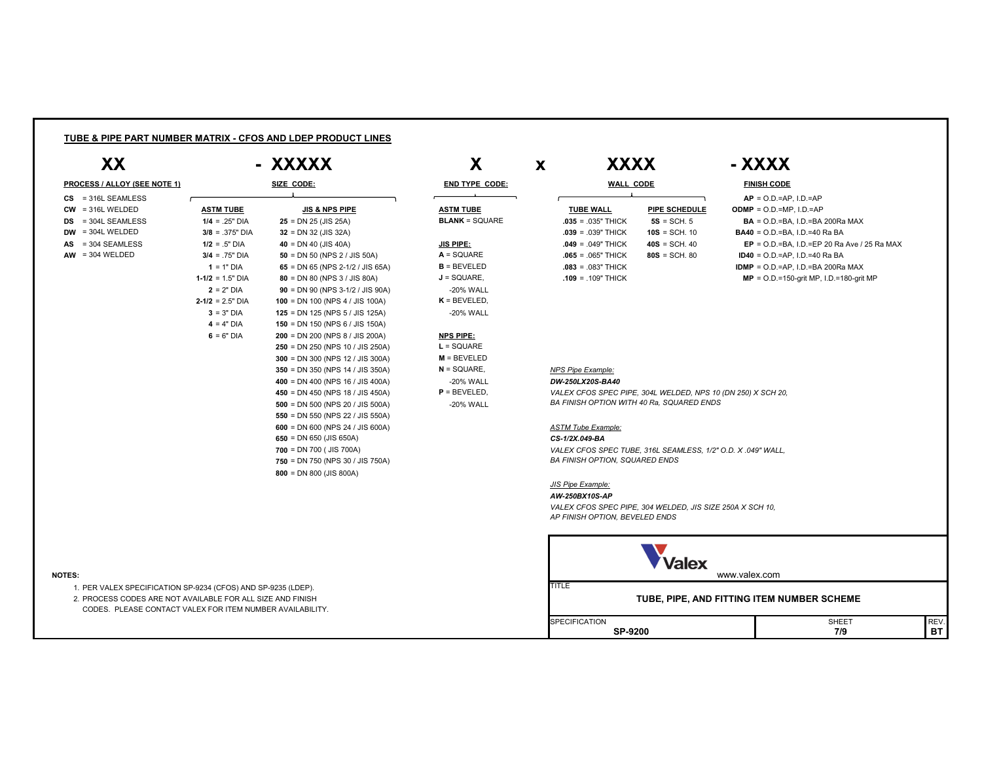| XX<br>- XXXXX                                                 |                       | X                                  |                                           | X            | <b>XXXX</b>                                |                                                              | - XXXX                                                                                      |  |  |  |  |
|---------------------------------------------------------------|-----------------------|------------------------------------|-------------------------------------------|--------------|--------------------------------------------|--------------------------------------------------------------|---------------------------------------------------------------------------------------------|--|--|--|--|
| <b>PROCESS / ALLOY (SEE NOTE 1)</b>                           |                       | SIZE CODE:                         | <b>END TYPE CODE:</b>                     |              | <b>WALL CODE</b>                           |                                                              | <b>FINISH CODE</b>                                                                          |  |  |  |  |
| $CS$ = 316L SEAMLESS                                          |                       |                                    |                                           |              |                                            |                                                              | $AP = O.D = AP$ . I.D.=AP                                                                   |  |  |  |  |
| $CW = 316L$ WELDED                                            | <b>ASTM TUBE</b>      | <b>JIS &amp; NPS PIPE</b>          | <b>ASTM TUBE</b><br><b>BLANK</b> = SQUARE |              | <b>TUBE WALL</b>                           | <b>PIPE SCHEDULE</b>                                         | <b>ODMP</b> = $O.D.=MP, I.D.=AP$                                                            |  |  |  |  |
| $DS = 304L$ SEAMLESS<br>$DW = 304L$ WELDED                    | $1/4 = .25"$ DIA      | $25 = DN 25 (JIS 25A)$             |                                           |              | $.035 = .035"$ THICK                       | $5S = SCH. 5$<br>$10S = SCH. 10$                             | $BA = O.D = BA$ , I.D. = BA 200Ra MAX<br><b>BA40</b> = $O.D.=BA$ , $I.D.=40$ Ra BA          |  |  |  |  |
|                                                               | $3/8 = .375"$ DIA     | $32 = DN 32 (JIS 32A)$             |                                           |              | $.039 = .039$ THICK<br>$.049 = .049$ THICK |                                                              |                                                                                             |  |  |  |  |
| $AS = 304$ SEAMLESS<br>$AW = 304 WELDED$                      | $1/2 = .5"$ DIA       | $40 = DN 40 (JIS 40A)$             | <b>JIS PIPE:</b><br>$A = SQUARE$          |              |                                            | $40S = SCH. 40$                                              | $EP = O.D.=BA$ , I.D.=EP 20 Ra Ave / 25 Ra MAX<br><b>ID40</b> = $O.D.=AP$ , $I.D.=40$ Ra BA |  |  |  |  |
|                                                               | $3/4 = .75"$ DIA      | 50 = DN 50 (NPS 2 / JIS 50A)       |                                           |              | $.065 = .065"$ THICK                       | $80S = SCH. 80$                                              |                                                                                             |  |  |  |  |
|                                                               | $1 = 1"$ DIA          | 65 = DN 65 (NPS 2-1/2 / JIS 65A)   | $B = BEVELED$                             |              | $.083 = .083"$ THICK                       |                                                              | <b>IDMP</b> = $O.D.=AP$ , I.D.=BA 200Ra MAX                                                 |  |  |  |  |
|                                                               | $1-1/2 = 1.5$ " DIA   | 80 = DN 80 (NPS 3 / JIS 80A)       | $J = SQUARE$ ,                            |              | $.109 = .109$ THICK                        |                                                              | $MP = O.D.=150-grit MP, I.D.=180-grit MP$                                                   |  |  |  |  |
|                                                               | $2 = 2"$ DIA          | $90 = DN 90 (NPS 3-1/2 / JIS 90A)$ | -20% WALL                                 |              |                                            |                                                              |                                                                                             |  |  |  |  |
|                                                               | $2 - 1/2 = 2.5$ " DIA | 100 = DN 100 (NPS 4 / JIS 100A)    | $K = BEVELED$ ,                           |              |                                            |                                                              |                                                                                             |  |  |  |  |
|                                                               | $3 = 3"$ DIA          | 125 = DN 125 (NPS 5 / JIS 125A)    | -20% WALL                                 |              |                                            |                                                              |                                                                                             |  |  |  |  |
|                                                               | $4 = 4"$ DIA          | 150 = DN 150 (NPS 6 / JIS 150A)    |                                           |              |                                            |                                                              |                                                                                             |  |  |  |  |
|                                                               | $6 = 6"$ DIA          | $200 = DN 200 (NPS 8 / JIS 200A)$  | <b>NPS PIPE:</b>                          |              |                                            |                                                              |                                                                                             |  |  |  |  |
|                                                               |                       | $250 = DN 250 (NPS 10 / JIS 250A)$ | $L = SQUARE$                              |              |                                            |                                                              |                                                                                             |  |  |  |  |
|                                                               |                       | 300 = DN 300 (NPS 12 / JIS 300A)   | $M = BEVELED$                             |              |                                            |                                                              |                                                                                             |  |  |  |  |
|                                                               |                       | 350 = DN 350 (NPS 14 / JIS 350A)   | $N =$ SQUARE,                             |              | <b>NPS Pipe Example:</b>                   |                                                              |                                                                                             |  |  |  |  |
|                                                               |                       | 400 = DN 400 (NPS 16 / JIS 400A)   | -20% WALL                                 |              | DW-250LX20S-BA40                           |                                                              |                                                                                             |  |  |  |  |
|                                                               |                       | 450 = DN 450 (NPS 18 / JIS 450A)   | $P = BEVELED$ ,                           |              |                                            | VALEX CFOS SPEC PIPE, 304L WELDED, NPS 10 (DN 250) X SCH 20, |                                                                                             |  |  |  |  |
|                                                               |                       | 500 = DN 500 (NPS 20 / JIS 500A)   | -20% WALL                                 |              |                                            | BA FINISH OPTION WITH 40 Ra, SQUARED ENDS                    |                                                                                             |  |  |  |  |
|                                                               |                       | 550 = DN 550 (NPS 22 / JIS 550A)   |                                           |              |                                            |                                                              |                                                                                             |  |  |  |  |
|                                                               |                       | 600 = DN 600 (NPS 24 / JIS 600A)   |                                           |              | <b>ASTM Tube Example:</b>                  |                                                              |                                                                                             |  |  |  |  |
|                                                               |                       | $650 = DN 650 (JIS 650A)$          |                                           |              | CS-1/2X.049-BA                             |                                                              |                                                                                             |  |  |  |  |
|                                                               |                       | $700 = DN 700$ ( JIS 700A)         |                                           |              |                                            | VALEX CFOS SPEC TUBE, 316L SEAMLESS, 1/2" O.D. X.049" WALL,  |                                                                                             |  |  |  |  |
|                                                               |                       | 750 = DN 750 (NPS 30 / JIS 750A)   |                                           |              | BA FINISH OPTION, SQUARED ENDS             |                                                              |                                                                                             |  |  |  |  |
|                                                               |                       | $800 = DN 800 (JIS 800A)$          |                                           |              |                                            |                                                              |                                                                                             |  |  |  |  |
|                                                               |                       |                                    |                                           |              | <b>JIS Pipe Example:</b>                   |                                                              |                                                                                             |  |  |  |  |
|                                                               |                       |                                    |                                           |              | AW-250BX10S-AP                             |                                                              |                                                                                             |  |  |  |  |
|                                                               |                       |                                    |                                           |              |                                            | VALEX CFOS SPEC PIPE, 304 WELDED, JIS SIZE 250A X SCH 10,    |                                                                                             |  |  |  |  |
|                                                               |                       |                                    |                                           |              | AP FINISH OPTION, BEVELED ENDS             |                                                              |                                                                                             |  |  |  |  |
|                                                               |                       |                                    |                                           |              |                                            |                                                              |                                                                                             |  |  |  |  |
| <b>NOTES:</b>                                                 |                       |                                    |                                           |              |                                            | <b>Valex</b>                                                 | www.valex.com                                                                               |  |  |  |  |
| 1. PER VALEX SPECIFICATION SP-9234 (CFOS) AND SP-9235 (LDEP). |                       |                                    |                                           | <b>TITLE</b> |                                            |                                                              |                                                                                             |  |  |  |  |
| 2. PROCESS CODES ARE NOT AVAILABLE FOR ALL SIZE AND FINISH    |                       |                                    |                                           |              |                                            |                                                              | TUBE, PIPE, AND FITTING ITEM NUMBER SCHEME                                                  |  |  |  |  |
| CODES. PLEASE CONTACT VALEX FOR ITEM NUMBER AVAILABILITY.     |                       |                                    |                                           |              |                                            |                                                              |                                                                                             |  |  |  |  |
|                                                               |                       |                                    |                                           |              | <b>SPECIFICATION</b>                       |                                                              | <b>SHEET</b><br>REV.                                                                        |  |  |  |  |
|                                                               |                       |                                    |                                           |              | <b>SP-9200</b>                             |                                                              | 7/9                                                                                         |  |  |  |  |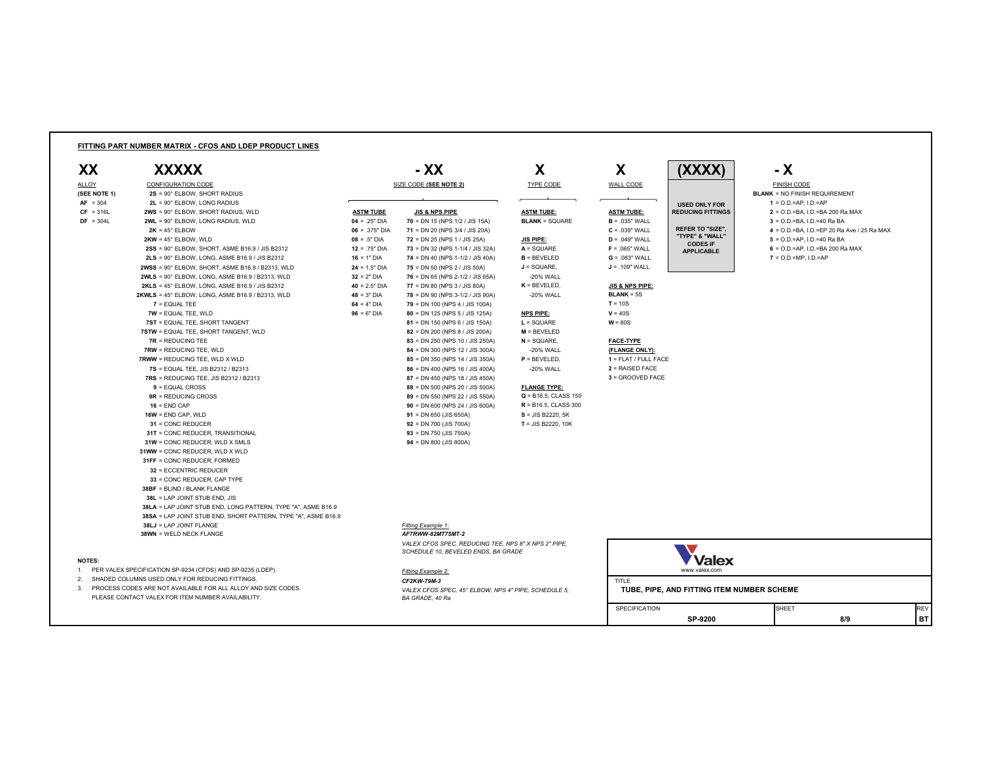### **FITTING PART NUMBER MATRIX - CFOS AND LDEP PRODUCT LINES**



**BLANK** = NO FINISH REQUIREMENT **2** = .039" WALL **REFER TO "SIZE",**  $\begin{bmatrix} 4 & 5 & 0 \\ 0 & 4 & 0 \\ 0 & 0 & 0 \end{bmatrix}$  **= D.D.=BA, I.D.=EP 20 Ra Ave / 25 Ra MAX** FINISH CODE

- $\mathsf{A} = \mathsf{SQUARE}$  **F** = .065" WALL **F A**  $\mathsf{R} = \mathsf{SQUBER}$  **F F F EXALGE <b>F F EXALGE F F EXALGE F F EXALGE F EXALGE F EXALGE F F EXALGE F EXALGEE F EXALGEE F EXALGEE F**
	-

| <b>ALLOY</b> | <b>CONFIGURATION CODE</b>                                      |                  | SIZE CODE (SEE NOTE 2)                                                                      | TYPE CODE                 | <b>WALL CODE</b>           |                                      | <b>FINISH CODE</b>                     |
|--------------|----------------------------------------------------------------|------------------|---------------------------------------------------------------------------------------------|---------------------------|----------------------------|--------------------------------------|----------------------------------------|
| (SEE NOTE 1) | $2S = 90^\circ$ ELBOW, SHORT RADIUS                            |                  |                                                                                             |                           |                            |                                      | <b>BLANK = NO FINISH REQUIREMENT</b>   |
| $AF = 304$   | $2L = 90^\circ$ ELBOW, LONG RADIUS                             |                  |                                                                                             |                           |                            | <b>USED ONLY FOR</b>                 | $1 = 0. D = AP$ , $1. D = AP$          |
| $CF = 316L$  | $2WS = 90^\circ$ ELBOW, SHORT RADIUS, WLD                      | <b>ASTM TUBE</b> | <b>JIS &amp; NPS PIPE</b>                                                                   | <b>ASTM TUBE:</b>         | <b>ASTM TUBE:</b>          | <b>REDUCING FITTINGS</b>             | $2 = 0$ .D.=BA, I.D.=BA 200 Ra MAX     |
| $DF = 304L$  | $2WL = 90^\circ$ ELBOW, LONG RADIUS, WLD                       | $04 = .25"$ DIA  | <b>70</b> = DN 15 (NPS $1/2$ / JIS 15A)                                                     | <b>BLANK = SQUARE</b>     | $B = 0.035"$ WALL          |                                      | $3 = 0.D = BA$ , I.D. = 40 Ra BA       |
|              | $2K = 45^{\circ}$ ELBOW                                        | $06 = .375"$ DIA | 71 = DN 20 (NPS $3/4$ / JIS 20A)                                                            |                           | $C = .039"$ WALL           | <b>REFER TO "SIZE",</b>              | $4 = 0.$ D.=BA, I.D.=EP 20 Ra Ave / 2  |
|              | $2KW = 45^{\circ}$ ELBOW, WLD                                  | $08 = .5"$ DIA   | <b>72</b> = DN 25 (NPS 1 / JIS 25A)                                                         | <b>JIS PIPE:</b>          | $D = .049"$ WALL           | "TYPE" & "WALL"                      | $5 = 0.0 = AP$ , I.D.=40 Ra BA         |
|              | $2SS = 90^\circ$ ELBOW, SHORT, ASME B16.9 / JIS B2312          | $12 = .75"$ DIA  | 73 = DN 32 (NPS 1-1/4 / JIS 32A)                                                            | $A = SQUARE$              | $F = 065"$ WALL            | <b>CODES IF</b><br><b>APPLICABLE</b> | $6 = 0.$ D. = AP, I.D. = BA 200 Ra MAX |
|              | $2LS = 90^\circ$ ELBOW, LONG, ASME B16.9 / JIS B2312           | $16 = 1"$ DIA    | 74 = DN 40 (NPS 1-1/2 / JIS 40A)                                                            | $B = BEVELED$             | $G = 0.083$ " WALL         |                                      | $7 = 0.D.=MP, I.D.=AP$                 |
|              | $2WSS = 90^\circ$ ELBOW, SHORT, ASME B16.9 / B2313, WLD        | $24 = 1.5"$ DIA  | 75 = DN 50 (NPS 2 / JIS 50A)                                                                | $J = SQUARE$ ,            | $J = .109"$ WALL           |                                      |                                        |
|              | $2WLS = 90^\circ$ ELBOW, LONG, ASME B16.9 / B2313, WLD         | $32 = 2"$ DIA    | 76 = DN 65 (NPS 2-1/2 / JIS 65A)                                                            | -20% WALL                 |                            |                                      |                                        |
|              | $2KLS = 45^{\circ}$ ELBOW, LONG, ASME B16.9 / JIS B2312        | $40 = 2.5"$ DIA  | 77 = DN 80 (NPS 3 / JIS 80A)                                                                | $K = BEVELED$             | <b>JIS &amp; NPS PIPE:</b> |                                      |                                        |
|              | $2KWLS = 45^{\circ}$ ELBOW, LONG, ASME B16.9 / B2313, WLD      | $48 = 3"$ DIA    | 78 = DN 90 (NPS 3-1/2 / JIS 90A)                                                            | -20% WALL                 | $BLANK = 5S$               |                                      |                                        |
|              | $7 =$ EQUAL TEE                                                | $64 = 4"$ DIA    | 79 = DN 100 (NPS 4 / JIS 100A)                                                              |                           | $T = 10S$                  |                                      |                                        |
|              | $TW = EQUAL TEE, WLD$                                          | $96 = 6"$ DIA    | 80 = DN 125 (NPS 5 / JIS 125A)                                                              | <b>NPS PIPE:</b>          | $V = 40S$                  |                                      |                                        |
|              | 7ST = EQUAL TEE, SHORT TANGENT                                 |                  | 81 = DN 150 (NPS 6 / JIS 150A)                                                              | $L = SQUARE$              | $W = 80S$                  |                                      |                                        |
|              | 7STW = EQUAL TEE, SHORT TANGENT, WLD                           |                  | 82 = DN 200 (NPS 8 / JIS 200A)                                                              | $M = BEVELED$             |                            |                                      |                                        |
|              | $7R = REDUCING TEE$                                            |                  | 83 = DN 250 (NPS 10 / JIS 250A)                                                             | $N =$ SQUARE,             | <b>FACE-TYPE</b>           |                                      |                                        |
|              | <b>7RW = REDUCING TEE, WLD</b>                                 |                  | 84 = DN 300 (NPS 12 / JIS 300A)                                                             | -20% WALL                 | (FLANGE ONLY):             |                                      |                                        |
|              | <b>7RWW = REDUCING TEE, WLD X WLD</b>                          |                  | 85 = DN 350 (NPS 14 / JIS 350A)                                                             | $P = BEVELED$ ,           | $1 = FLAT / FULL FACE$     |                                      |                                        |
|              | <b>7S</b> = EQUAL TEE, JIS B2312 / B2313                       |                  | $86 = DN 400 (NPS 16 / JIS 400A)$                                                           | -20% WALL                 | $2 = RAISED$ FACE          |                                      |                                        |
|              | $7RS = REDUCING TEE$ , JIS B2312 / B2313                       |                  | 87 = DN 450 (NPS 18 / JIS 450A)                                                             |                           | 3 = GROOVED FACE           |                                      |                                        |
|              | $9 =$ EQUAL CROSS                                              |                  | 88 = DN 500 (NPS 20 / JIS 500A)                                                             | <b>FLANGE TYPE:</b>       |                            |                                      |                                        |
|              | $9R$ = REDUCING CROSS                                          |                  | 89 = DN 550 (NPS 22 / JIS 550A)                                                             | $Q = B16.5$ , CLASS 150   |                            |                                      |                                        |
|              | $16 = END CAP$                                                 |                  | $90 = DN 600 (NPS 24 / JIS 600A)$                                                           | $R = B16.5$ , CLASS 300   |                            |                                      |                                        |
|              | $16W = END CAP, WLD$                                           |                  | $91 = DN 650 (JIS 650A)$                                                                    | $S = JIS B2220, 5K$       |                            |                                      |                                        |
|              | $31$ = CONC REDUCER                                            |                  | $92 = DN$ 700 (JIS 700A)                                                                    | <b>T</b> = JIS B2220, 10K |                            |                                      |                                        |
|              | 31T = CONC REDUCER, TRANSITIONAL                               |                  | $93 = DN 750$ (JIS 750A)                                                                    |                           |                            |                                      |                                        |
|              | $31W = CONC REDUCER, WLD X SMLS$                               |                  | $94 = DN 800$ (JIS 800A)                                                                    |                           |                            |                                      |                                        |
|              | 31WW = CONC REDUCER, WLD X WLD                                 |                  |                                                                                             |                           |                            |                                      |                                        |
|              | 31FF = CONC REDUCER, FORMED                                    |                  |                                                                                             |                           |                            |                                      |                                        |
|              | 32 = ECCENTRIC REDUCER                                         |                  |                                                                                             |                           |                            |                                      |                                        |
|              | 33 = CONC REDUCER, CAP TYPE                                    |                  |                                                                                             |                           |                            |                                      |                                        |
|              | 38BF = BLIND / BLANK FLANGE                                    |                  |                                                                                             |                           |                            |                                      |                                        |
|              | <b>38L = LAP JOINT STUB END, JIS</b>                           |                  |                                                                                             |                           |                            |                                      |                                        |
|              | 38LA = LAP JOINT STUB END, LONG PATTERN, TYPE "A", ASME B16.9  |                  |                                                                                             |                           |                            |                                      |                                        |
|              | 38SA = LAP JOINT STUB END, SHORT PATTERN, TYPE "A", ASME B16.9 |                  |                                                                                             |                           |                            |                                      |                                        |
|              | 38LJ = LAP JOINT FLANGE                                        |                  | <b>Fitting Example 1:</b>                                                                   |                           |                            |                                      |                                        |
|              | <b>38WN = WELD NECK FLANGE</b>                                 |                  | AF7RWW-82MT75MT-2                                                                           |                           |                            |                                      |                                        |
|              |                                                                |                  | VALEX CFOS SPEC, REDUCING TEE, NPS 8" X NPS 2" PIPE,<br>SCHEDULE 10, BEVELED ENDS, BA GRADE |                           |                            | <b>V</b>                             |                                        |

### **NOTES:**

1. PER VALEX SPECIFICATION SP-9234 (CFOS) AND SP-9235 (LDEP). *Fitting Example 2:* www.valex.com

PLEASE CONTACT VALEX FOR ITEM NUMBER AVAILABILITY.





**- XX**

2. SHADED COLUMNS USED ONLY FOR REDUCING FITTINGS.<br>2. PROCESS CODES ARE NOT AVAILABLE FOR ALL ALLOY AND SIZE CODES. *CF2KW-79M-3* VALEX CFOS SPEC, 45° ELBOW, NPS 4" PIPE, SCHEDULE 5, VALEX CFOS SPEC, 45° ELBOW, NPS 4" PIPE, SCHEDULE 5, **TUBE, PIPE, AND FITTING ITEM NUMBER SCHEME**<br>BA GRADE, 40 Ra

| ı |  |
|---|--|
| - |  |